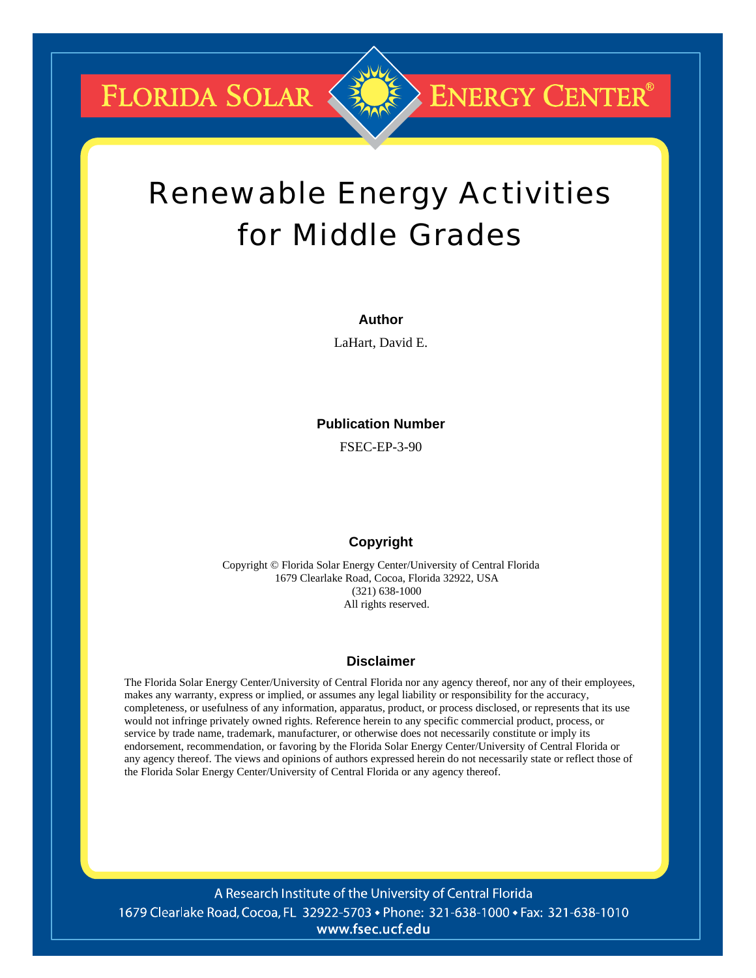**FLORIDA SOLAR &** 

# Renewable Energy Activities for Middle Grades

**ENERGY CENTER®** 

#### **Author**

LaHart, David E.

#### **Publication Number**

FSEC-EP-3-90

#### **Copyright**

Copyright © Florida Solar Energy Center/University of Central Florida 1679 Clearlake Road, Cocoa, Florida 32922, USA (321) 638-1000 All rights reserved.

#### **Disclaimer**

The Florida Solar Energy Center/University of Central Florida nor any agency thereof, nor any of their employees, makes any warranty, express or implied, or assumes any legal liability or responsibility for the accuracy, completeness, or usefulness of any information, apparatus, product, or process disclosed, or represents that its use would not infringe privately owned rights. Reference herein to any specific commercial product, process, or service by trade name, trademark, manufacturer, or otherwise does not necessarily constitute or imply its endorsement, recommendation, or favoring by the Florida Solar Energy Center/University of Central Florida or any agency thereof. The views and opinions of authors expressed herein do not necessarily state or reflect those of the Florida Solar Energy Center/University of Central Florida or any agency thereof.

A Research Institute of the University of Central Florida 1679 Clearlake Road, Cocoa, FL 32922-5703 • Phone: 321-638-1000 • Fax: 321-638-1010 www.fsec.ucf.edu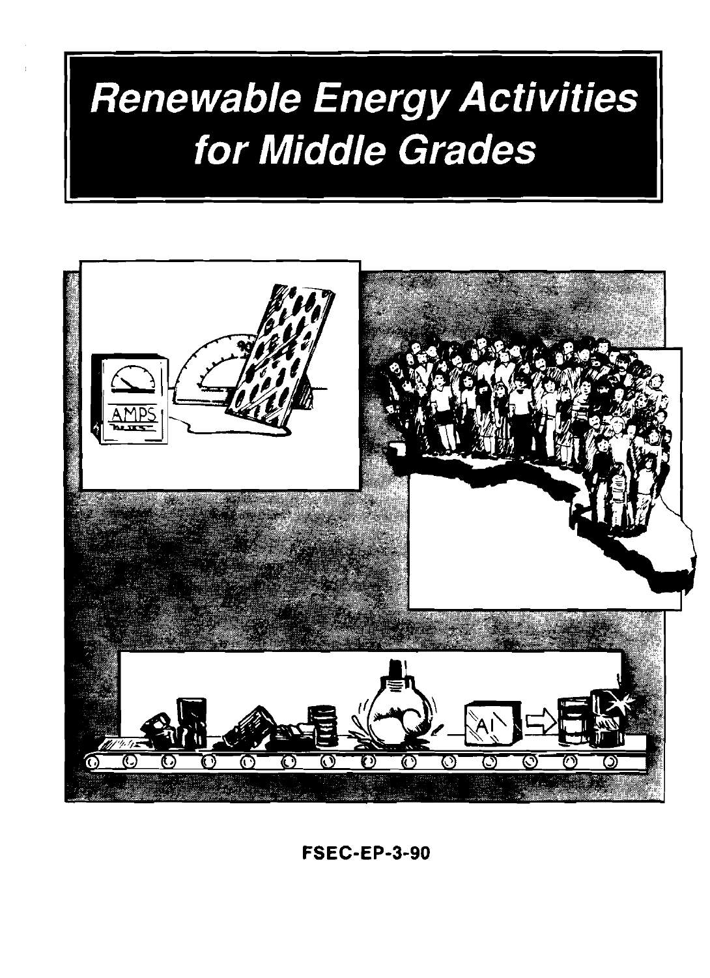# **Renewable Energy Activities** for Middle Grades



**FSEC-EP-3-90**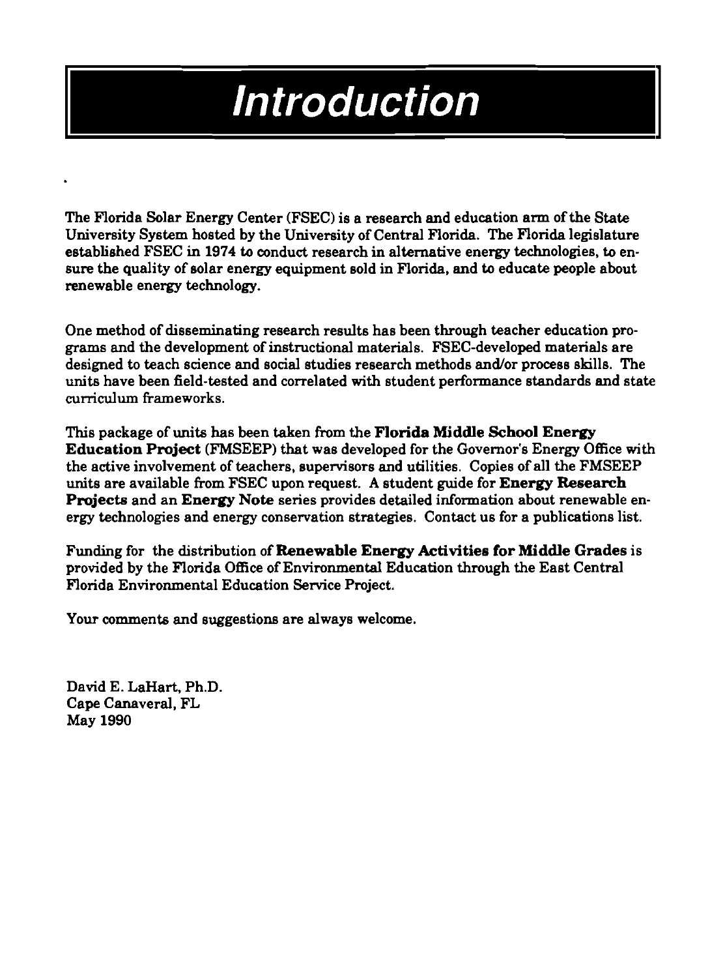# **Introduction**

The Florida Solar Energy Center (FSEC) is a research and education arm of the State University System hosted by the University of Central Florida. The Florida legislature established FSEC in **1974** to conduct research in alternative energy technologies, to ensure the quality of solar energy equipment sold in Florida, and to educate people about renewable energy technology.

One method of disseminating research results has been through teacher education programs and the development of instructional materials. FSEC-developed materials are designed to teach science and social studies research methods and/or process skills. The units have been field-tested and correlated with student performance standards and state **cumculurn** frameworks.

This package of units has been taken from the **Florida Middle School Energy Education Project** (FMSEEP) that was developed for the Governor's Energy Office with the active involvement of teachers, supervisors and utilities. Copies of all the FMSEEP units are available from FSEC upon request. A student guide for **Energy Research Projects** and an **Energy Note** series provides detailed information about renewable energy technologies and energy conservation strategies. Contact us for a publications list.

Funding for the distribution of **Renewable Energy Activities for Middle Grades** is provided by the Florida Office of Environmental Education through the East Central Florida Environmental Education Service Project.

Your comments and suggestions are always welcome.

David E. LaHart, Ph.D. Cape Canaveral, FL May **1990**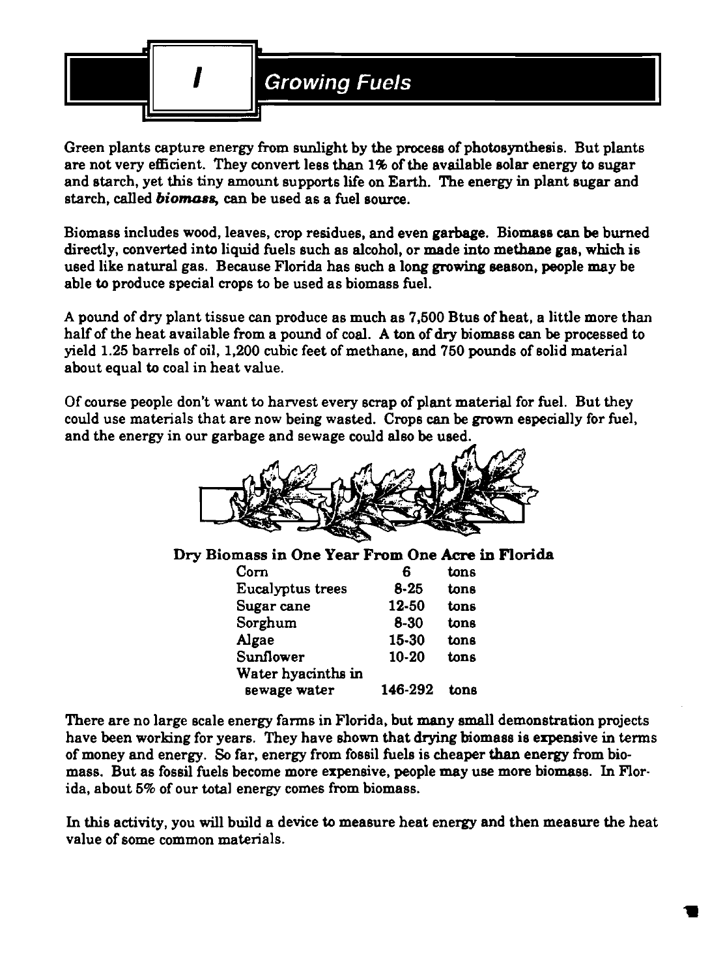

Green plants capture energy from sunlight by the process of photosynthesis. But plants are not very efficient. They convert less than **1%** of the available solar energy to sugar and starch, yet this tiny amount supports life on Earth. The energy in plant sugar and starch, called **biomass**, can be used as a fuel source.

Biomass includes wood, leaves, crop residues, and even garbage. Biomass **can** be burned directly, converted into liquid fuels such as alcohol, or made into methane gas, which is used like natural gas. Because Florida has such a long growing Beason, people may be able to produce special crops to be used as biomass fuel.

A pound of dry plant tissue can produce as much as **7,500** Btus of heat, a little more than half of the heat available from a pound of coal. A ton of dry biomass can be processed to yield **1.25** barrels of oil, **1,200** cubic feet of methane, and **750** pounds of solid material about equal to coal in heat value.

Of course people don't want to harvest every scrap of plant material for fuel. But they could use materials that are now being wasted. Crops can be grown especially for fuel, and the energy in our garbage and sewage could also be used.



# Dry Biomass in One Year **From** One **Acre** in Florida

| Б         | tons |  |
|-----------|------|--|
| $8 - 25$  | tons |  |
| 12-50     | tons |  |
| $8 - 30$  | tons |  |
| 15-30     | tons |  |
| $10 - 20$ | tons |  |
|           |      |  |
| 146-292   | tone |  |
|           |      |  |

There are no large scale energy farms in Florida, but many small demonstration projects have been working for years. They have shown that drying biomass is expensive in terms of money and energy. So far, energy from fossil fuels is cheaper than energy from biomass. But as fossil fuels become more expensive, people may use more biomass. In Florida, about **5%** of our total energy comes from biomass.

In this activity, you will build a device to measure heat energy and then measure the heat value of some common materials.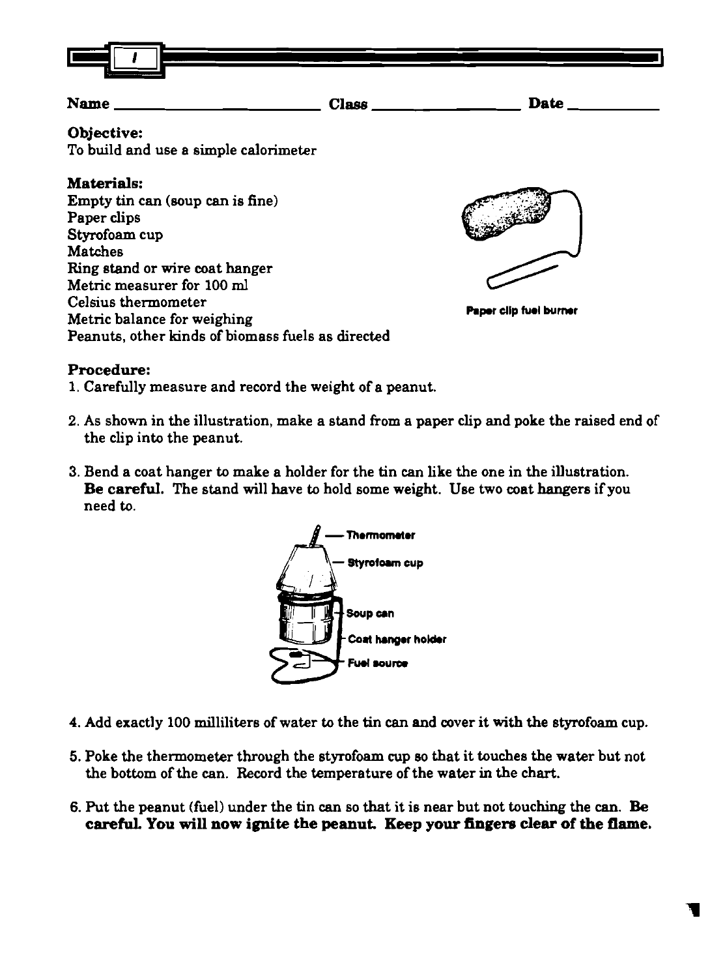

# **Name Class Date**

# **Objective:**

To build and use a simple calorimeter

# **Materials:**

Empty **tin** can (soup **can** is fine) Paper clips Styrofoam cup Matches Ring stand or wire coat hanger Metric measurer for **100 ml**  Celsius thermometer Metric balance for weighing Peanuts, other kinds of biomass fuels as directed



**Paper clip fuel burner** 

# **Procedure:**

- **1.** Carefully measure and record the weight of a peanut.
- 2. As shown in the illustration, make a stand from a paper clip and poke the raised end of the clip into the peanut.
- 3. Bend a coat hanger to make a holder for the tin can like the one in the illustration. Be **careful.** The stand will have to hold some weight. Use two coat hangers if you need to.



- 4. Add exactly 100 milliliters of water to the tin can and cover it with the styrofoam cup.
- 5. Poke the thermometer through the styrofoam cup so that it touches the water but not the bottom of the can. Record the temperature of the water in the chart.
- 6. Put the peanut (fuel) under the tin can so that it is near but not touching the can. Be **careful. You will now ignite the peanut. Keep your fingem clear of the flame.**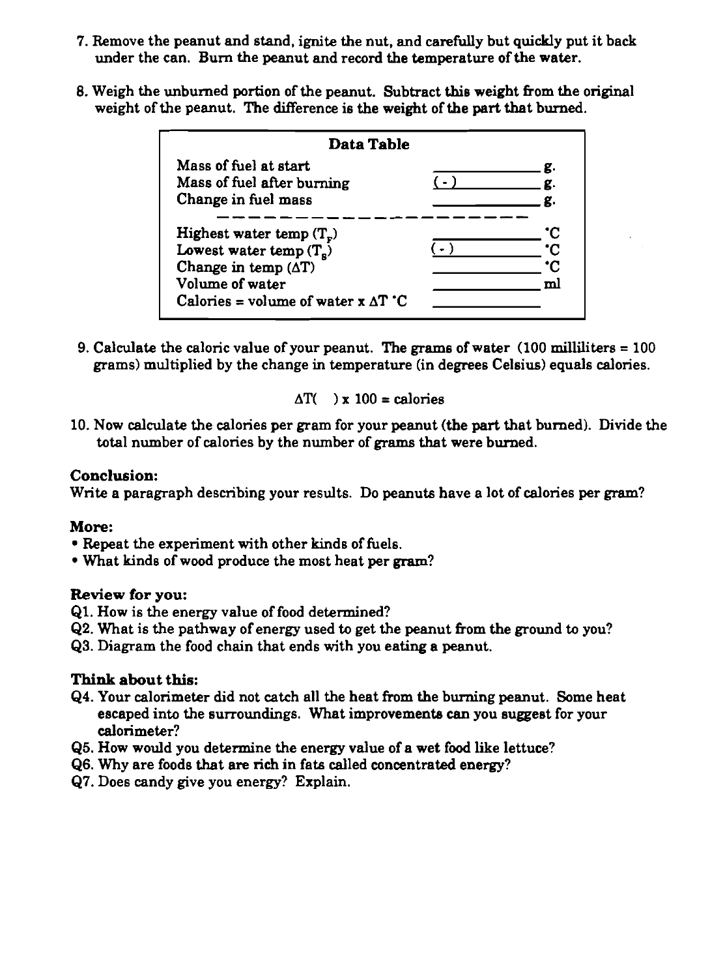- 7. Remove the peanut and stand, ignite the nut, and carefully but quickly put it back under the can. Bum the peanut and record the temperature of the water.
- 8. Weigh the unburned portion of the peanut. Subtract this weight from the original weight of the peanut. The difference is the weight of the part that burned.

| Mass of fuel at start<br>Mass of fuel after burning<br>Change in fuel mass                                |  |
|-----------------------------------------------------------------------------------------------------------|--|
|                                                                                                           |  |
| Highest water temp $(T_e)$<br>Lowest water temp $(T_s)$<br>Change in temp $(\Delta T)$<br>Volume of water |  |

9. Calculate the caloric value of your peanut. The grams of water  $(100 \text{ milliliters} = 100$ grams) multiplied by the change in temperature (in degrees Celsius) equals calories.

$$
\Delta T() \times 100 = \text{calories}
$$

10. Now calculate the calories per gram for your peanut (the part that burned). Divide the total number of calories by the number of grams that were burned.

#### Conclusion:

Write a paragraph describing your results. Do peanuts have a lot of calories per gram?

### More:

- Repeat the experiment with other kinds of fuels.
- What kinds of wood produce the most heat per **gram?**

### Review for you:

- 61. How is the energy value of food determined?
- 62. What is the pathway of energy used to get the peanut from the ground to you?
- 63. Diagram the food chain that ends with you eating a peanut.

- 64. Your calorimeter did not catch all the heat from the burning peanut. Some heat escaped into the surroundings. What improvements can you suggest for your calorimeter?
- **65.** How would you determine the energy value of a wet food like lettuce?
- 66. Why are foods that are rich in fats called concentrated energy?
- 67. Does candy give you energy? Explain.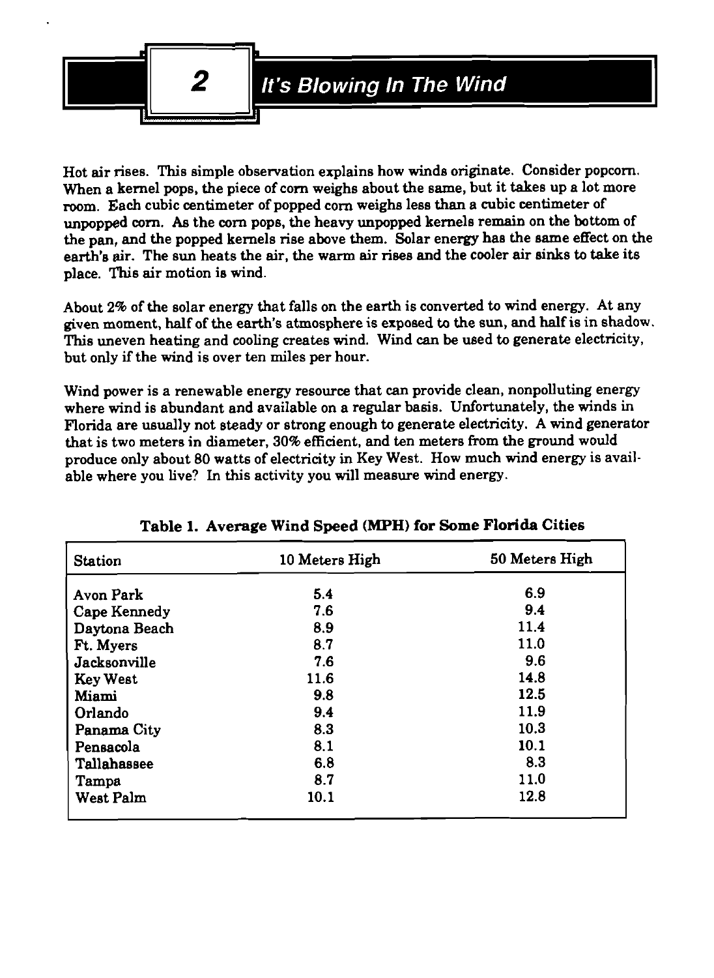

Hot air rises. This simple observation explains how winds originate. Consider popcorn. When a kernel pops, the piece of corn weighs about the same, but it takes up a lot more room. Each cubic centimeter of popped corn weighs less than a cubic centimeter of unpopped corn. **As** the corn pops, the heavy unpopped kernels remain on the bottom of the pan, and the popped kernels rise above them. Solar energy has the same effect on the earth's air. The sun heats the air, the warm air rises and the cooler air sinks to take its place. This air motion is wind.

About **2%** of the solar energy that falls on the earth is converted to wind energy. At any given moment, half of the earth's atmosphere is exposed to the sun, and half is in shadow. This uneven heating and cooling creates wind. Wind **can** be used to generate electricity, but only if the wind is over ten miles per hour.

Wind power is a renewable energy resource that can provide clean, nonpolluting energy where wind is abundant and available on a regular basis. Unfortunately, the winds in Florida are usually not steady or strong enough to generate electricity. A wind generator that is two meters in diameter, **30%** efficient, and ten meters from the ground would produce only about **80** watts of electricity in Key West. How much wind energy is available where you live? **In** this activity you will measure wind energy.

| <b>Station</b>   | 10 Meters High | 50 Meters High |
|------------------|----------------|----------------|
| Avon Park        | 5.4            | 6.9            |
| Cape Kennedy     | 7.6            | 9.4            |
| Daytona Beach    | 8.9            | 11.4           |
| Ft. Myers        | 8.7            | 11.0           |
| Jacksonville     | 7.6            | 9.6            |
| <b>Key West</b>  | 11.6           | 14.8           |
| <b>Miami</b>     | 9.8            | 12.5           |
| Orlando          | 9.4            | 11.9           |
| Panama City      | 8.3            | 10.3           |
| Pensacola        | 8.1            | 10.1           |
| Tallahassee      | 6.8            | 8.3            |
| Tampa            | 8.7            | 11.0           |
| <b>West Palm</b> | 10.1           | 12.8           |

# **Table 1. Average** Wind **Speed (MPH) for Some Florida Cities**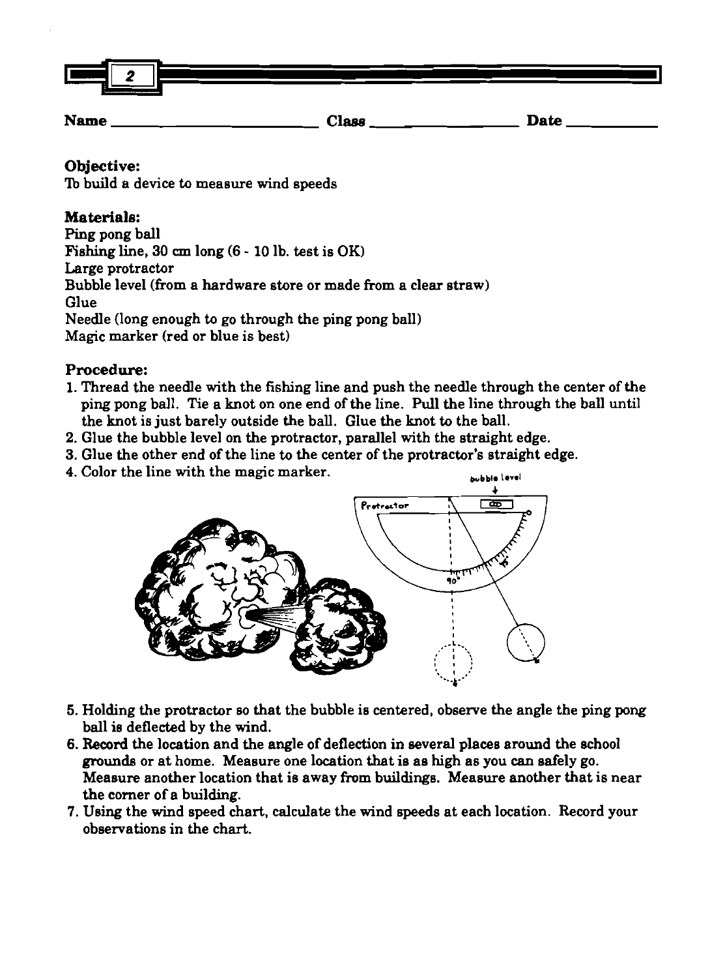

**Name Class Date** 

# **Objective:**

To build a device to measure wind speeds

# **Materials:**

Ping pong ball Fishing line, **30 cm** long (6 - **10** lb. test is OK) Large protractor Bubble level (from a hardware store or made from a clear straw) Glue Needle (long enough to go through the ping pong ball) Magic marker (red or blue is best)

# **Procedure:**

- **1.** Thread the needle with the fishing line and push the needle through the center of the ping pong ball. Tie a knot on one end of the line. Pull the line through the ball until the knot is just barely outside the ball. Glue the knot to the ball.
- 2. Glue the bubble level on the protractor, parallel with the straight edge.
- **3.** Glue the other end of the line to the center of the protractor's straight edge.
- 4. Color the line with the magic marker.



- 5. Holding the protractor so that the bubble is centered, observe the angle the ping pong ball is deflected by the wind.
- 6. Record the location and the angle of deflection in several places around the school grounds or at home. Meaeure one location that is as high as you **can** safely go. Measure another location that is away from buildings. Measure another that is near the comer of a building.
- 7. Using the wind speed chart, calculate the wind speeds at each location. Record your observations in the chart.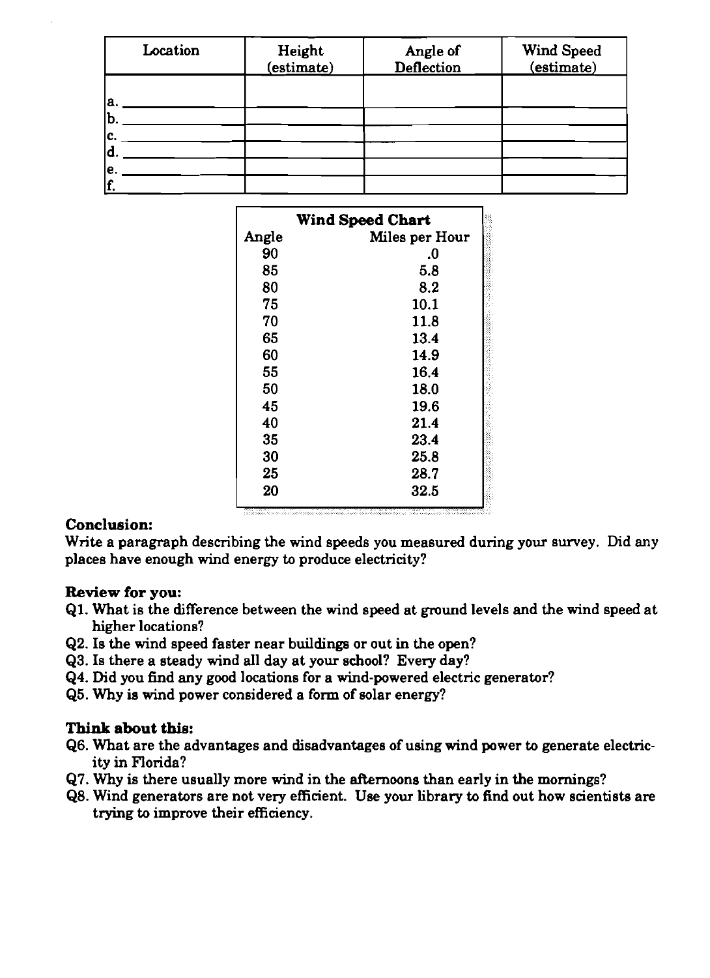| Location | Height<br>(estimate) | Angle of<br><b>Deflection</b> | Wind Speed<br>(estimate) |
|----------|----------------------|-------------------------------|--------------------------|
| а.       |                      |                               |                          |
| b.<br>C. |                      |                               |                          |
| o<br>١e. |                      |                               |                          |
|          |                      |                               |                          |

|       | Wind Speed Chart |
|-------|------------------|
| Angle | Miles per Hour   |
| 90    | .0               |
| 85    | 5.8              |
| 80    | 8.2              |
| 75    | 10.1             |
| 70    | 11.8             |
| 65    | 13.4             |
| 60    | 14.9             |
| 55    | 16.4             |
| 50    | 18.0             |
| 45    | 19.6             |
| 40    | 21.4             |
| 35    | 23.4             |
| 30    | 25.8             |
| 25    | 28.7             |
| 20    | 32.5             |

### **Conclusion:**

Write a paragraph describing the wind speeds you measured during your survey. Did any places have enough wind energy to produce electricity?

### **Review for you:**

- **61.** What is the difference between the wind speed at ground levels and the wind speed at higher locations?
- **62.** Is the wind speed faster near buildings or out in the open?
- **63.** Is there a steady wind all day at your school? Every day?
- **Q4. Did you find any good locations for a wind-powered electric generator?**
- **65.** Why is wind power considered a form of solar energy?

- **66.** What are the advantages and disadvantages of using wind power to generate electricity in Florida?
- **67.** Why is there usually more wind in the afternoons than early in the mornings?
- **68.** Wind generators are not very efficient. Use your library to find out how scientists are trying to improve their efficiency.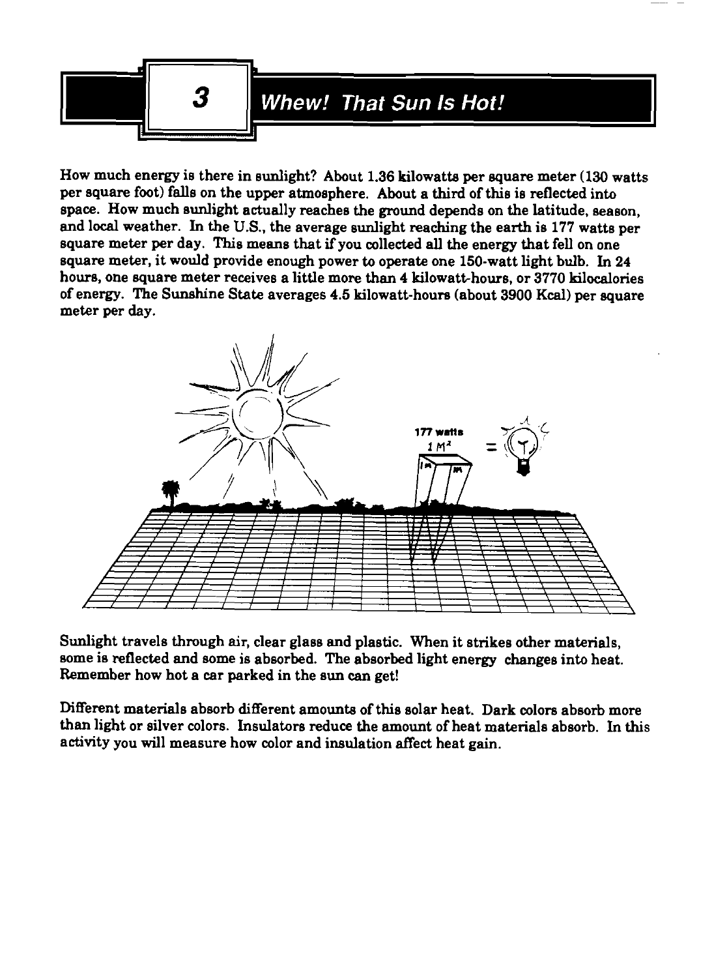

How much energy is there in sunlight? About 1.36 kilowatts per square meter (130 watts per square foot) falls on the upper atmosphere. About a third of this is reflected into space. How much sunlight actually reaches the ground depends on the latitude, season, and local weather. In the **U.S.,** the average sunlight reaching the earth is 177 watts per square meter per day. This means that if you collected all the energy that fell on one square meter, it would provide enough power to operate one 150-watt light bulb. In 24 hours, one square meter receives a little more than 4 kilowatt-hours, or 3770 kilocalories of energy. The Sunshine State averages 4.5 kilowatt-houra (about 3900 **Kcal)** per square meter per day.



Sunlight travels through air, clear glass and plastic. When it strikes other materials, some is reflected and some is absorbed. The absorbed light energy changes into heat. Remember how hot a car parked in the sun can get!

Different materials absorb different amounts of this solar heat. Dark colors absorb more than light or silver colors. Insulators reduce the amount of heat materials absorb. In this activity you will measure how color and insulation affect heat **gain.**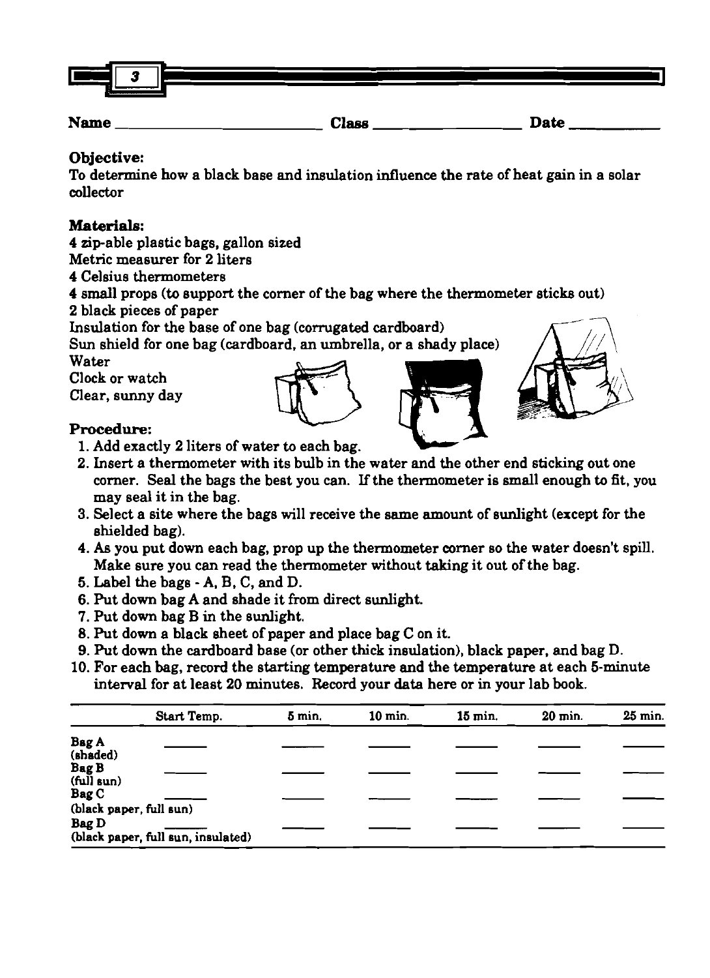

**Name Clase Date** 

# **Objective:**

To determine how a black base and insulation influence the rate of heat gain in a solar collector

# **Materials:**

4 zip-able plastic bags, gallon sized

Metric measurer for 2 liters

- 4 Celsius thermometers
- 4 small props (to support the comer of the bag where the thermometer sticks out)

**2** black pieces of paper

Insulation for the base of one bag (corrugated cardboard)

**Sun** shield for one bag (cardboard, an umbrella, or a shady place) Water

Clock or watch

Clear, sunny day

# Procedure:

- **1.** Add exactly **2** liters of water to each bag.
- 2. Insert a thermometer with its bulb in the water and the other end sticking out one comer. Seal the bags the best you can. If the thermometer is small enough to fit, you may seal it in the bag.
- 3. Select a site where the bags will receive the same amount of sunlight (except for the shielded bag).
- 4. As you put down each bag, prop up the thermometer comer so the water doesn't spill. Make sure you can read the thermometer without taking it out of the bag.
- 5. Label the bags A, B, C, and D.
- 6. Put down bag A and shade it from direct sunlight.
- 7. Put down bag B in the sunlight.
- 8. Put down a black sheet of paper and place bag C on it.
- 9. Put down the cardboard base (or other thick insulation), black paper, and bag D.
- **10.** For each bag, record the starting temperature and the temperature at each 5-minute interval for at least **20** minutes. Record your data here or in your lab book.

|                                  | 8. Put down a black sheet of paper and place bag C on it.<br>9. Put down the cardboard base (or other thick insulation), black paper, and bag D.<br>10. For each bag, record the starting temperature and the temperature at each 5-minute<br>interval for at least 20 minutes. Record your data here or in your lab book. |        |           |           |           |         |
|----------------------------------|----------------------------------------------------------------------------------------------------------------------------------------------------------------------------------------------------------------------------------------------------------------------------------------------------------------------------|--------|-----------|-----------|-----------|---------|
|                                  | Start Temp.                                                                                                                                                                                                                                                                                                                | 5 min. | $10$ min. | $15$ min. | $20$ min. | 25 min. |
| <b>Bag A</b><br>(shaded)         |                                                                                                                                                                                                                                                                                                                            |        |           |           |           |         |
| Bag B<br>$(tul]$ sun)            |                                                                                                                                                                                                                                                                                                                            |        |           |           |           |         |
| Bag C<br>(black paper, full sun) |                                                                                                                                                                                                                                                                                                                            |        |           |           |           |         |
| Bag D                            | (black paper, full sun, insulated)                                                                                                                                                                                                                                                                                         |        |           |           |           |         |



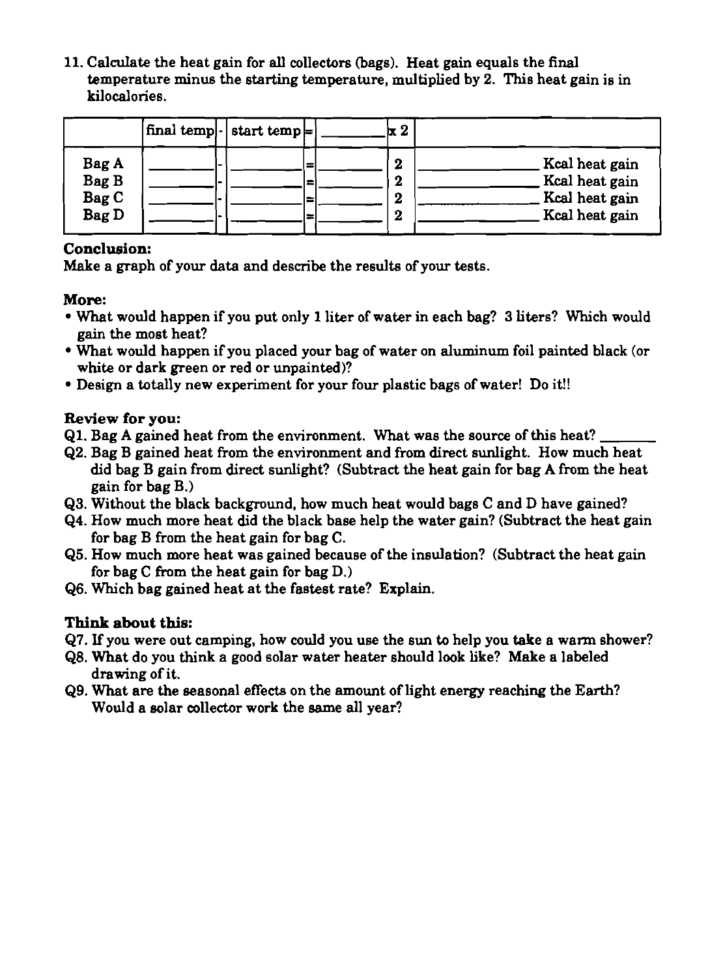**11.** Calculate the heat gain for all collectors (bags). Heat gain equals the **final**  temperature minus the starting temperature, multiplied by **2.** This heat gain is in kilocalories.

|                                         | $ final temp $ - start temp $\models$ |                            | $\alpha$ $2$                    |                                                                      |
|-----------------------------------------|---------------------------------------|----------------------------|---------------------------------|----------------------------------------------------------------------|
| Bag A<br>Bag B<br>Bag C<br><b>Bag D</b> |                                       | ≔<br>ı=<br>$\equiv$<br>l = | 2<br>$\boldsymbol{2}$<br>2<br>2 | Kcal heat gain<br>Kcal heat gain<br>Kcal heat gain<br>Kcal heat gain |

# **Conclusion:**

Make a graph of your data and describe the results of your tests.

# **More:**

- What would happen if you put only **1** liter of water in each bag? **3** liters? Which would gain the most heat?
- What would happen if you placed your bag of water on aluminum foil painted black (or white or dark green or red or unpainted)?
- Design a totally new experiment for your four plastic bags of water! Do it!!

# **Review for you:**

- **Q1.** Bag **A** gained heat from the environment. What was the source of this heat?
- **Q2.** Bag B gained heat from the environment and from direct sunlight. How much heat did bag B gain from direct sunlight? (Subtract the heat gain for bag A from the heat gain for bag B.)
- **Q3.** Without the black background, how much heat would bags C and D have gained?
- **Q4.** How much more heat did the black base help the water gain? (Subtract the heat gain for bag B from the heat gain for bag C.
- **65.** How much more heat was gained because of the insulation? (Subtract the heat gain for bag  $C$  from the heat gain for bag  $D$ .)
- **Q6.** Which bag gained heat at the fastest rate? Explain.

- **67. If** you were out camping, how could you use the sun to help you take a warm shower?
- **Q8.** What do you think a good solar water heater should look like? Make a labeled drawing of it.
- **Q9.** What are **the** seasonal effects on the amount of light energy reaching the Earth? Would a solar collector work the same all year?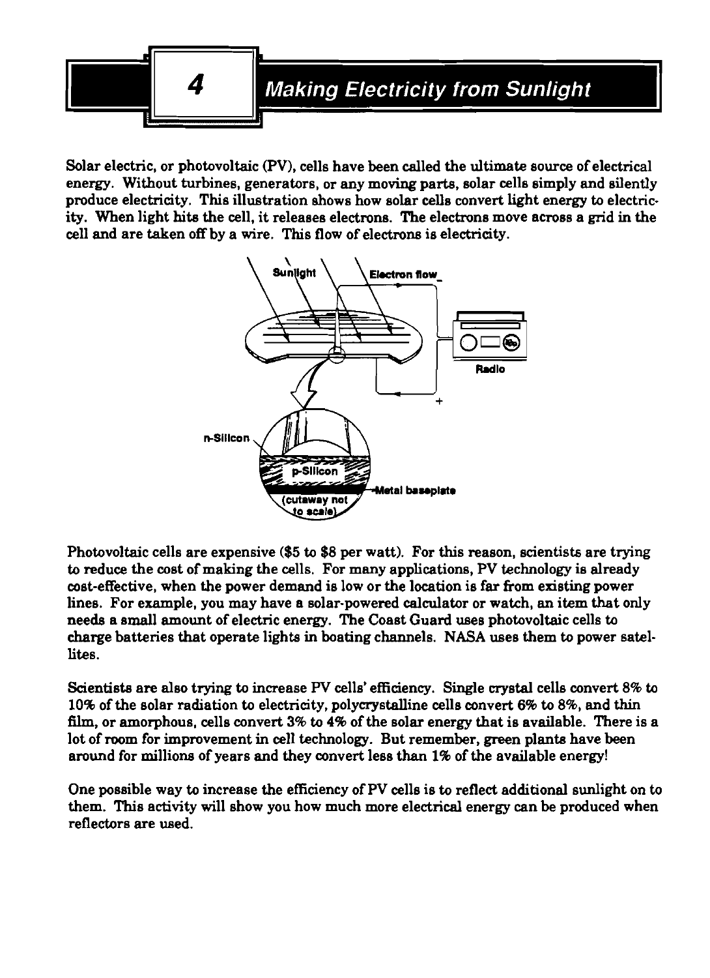

Solar electric, or photovoltaic (PV), cells have been called the ultimate source of electrical energy. Without turbines, generators, or any moving parts, solar cells simply and silently produce electricity. This illustration shows how solar cells convert light energy to electricity. When light hits the cell, it releases electrons. The electrons move across a grid in the cell and are taken off by a wire. This flow of electrons is electricity.



Photovoltaic cells are expensive (\$5 to \$8 per watt). For this reason, scientists are trying to reduce the cost of making the cells. For many applications, PV technology is already cost-effective, when the power demand is low or the location is far from existing power lines. For example, you may have a solar-powered calculator or watch, an item that only needs a small amount of electric energy. The Coast Guard uses photovoltaic cells to charge batteries that operate lights in boating channels. **NASA** uses them to power satellites.

Scientists are also trying to increase PV cells' efficiency. Single crystal cells convert 8% to 10% of the solar radiation to electricity, polycrystalline cells convert 6% to 8%, and thin **film,** or amorphous, cells convert 3% to 4% of the solar energy that is available. There is a lot of room for improvement in cell technology. But remember, green plants have been around for millions of years and they convert less than 1% of the available energy!

One possible way to increase the efficiency of PV cells is to reflect additional sunlight on to them. This activity will show you how much more electrical energy can be produced when reflectors are used.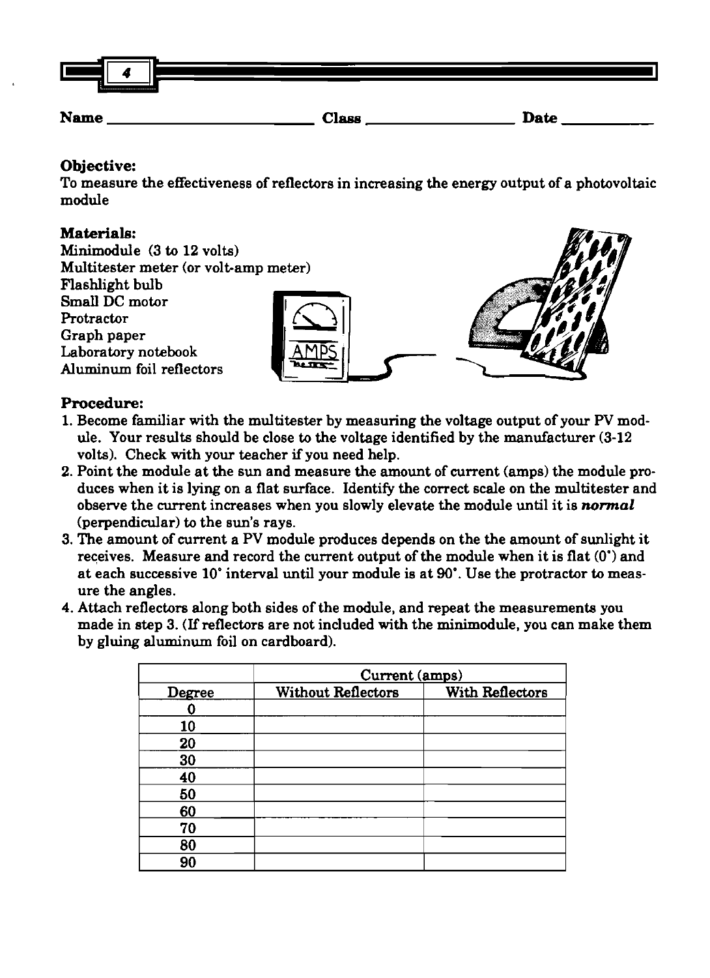

# **Objective:**

To measure the effectiveness of reflectors in increasing the energy output of a photovoltaic module

# **Materials:**

Minimodule (3 to 12 volts) Multitester meter (or volt-amp meter) Flashlight bulb Small DC motor Protractor Graph paper Laboratory notebook Aluminum foil reflectors

# **Procedure:**

- 1. Become familiar with the multitester by measuring the voltage output of your PV module. Your results should be close to the voltage identified by the manufacturer (3-12 volts). Check with your teacher if you need help.
- 2. Point the module at the sun and measure the amount of current (amps) the module produces when it is lying on a flat surface. Identify the correct scale on the multitester and observe the current increases when you slowly elevate the module until it is **normal**  (perpendicular) to the sun's rays.
- 3. The amount of current a PV module produces depends on the the amount of sunlight it receives. Measure and record the current output of the module when it is flat (0') and at each successive 10' interval until your module is at **90'.** Use the protractor to measure the angles.
- 4. Attach reflectors along both sides of the module, and repeat the measurements you made in step 3. (If reflectors are not included with the minimodule, you can make them by gluing aluminum foil on cardboard).

|        | Current (amps)            |                 |
|--------|---------------------------|-----------------|
| Degree | <b>Without Reflectors</b> | With Reflectors |
|        |                           |                 |
| 10     |                           |                 |
| 20     |                           |                 |
| 30     |                           |                 |
| 40     |                           |                 |
| 50     |                           |                 |
| 60     |                           |                 |
| 70     |                           |                 |
| 80     |                           |                 |
| 90     |                           |                 |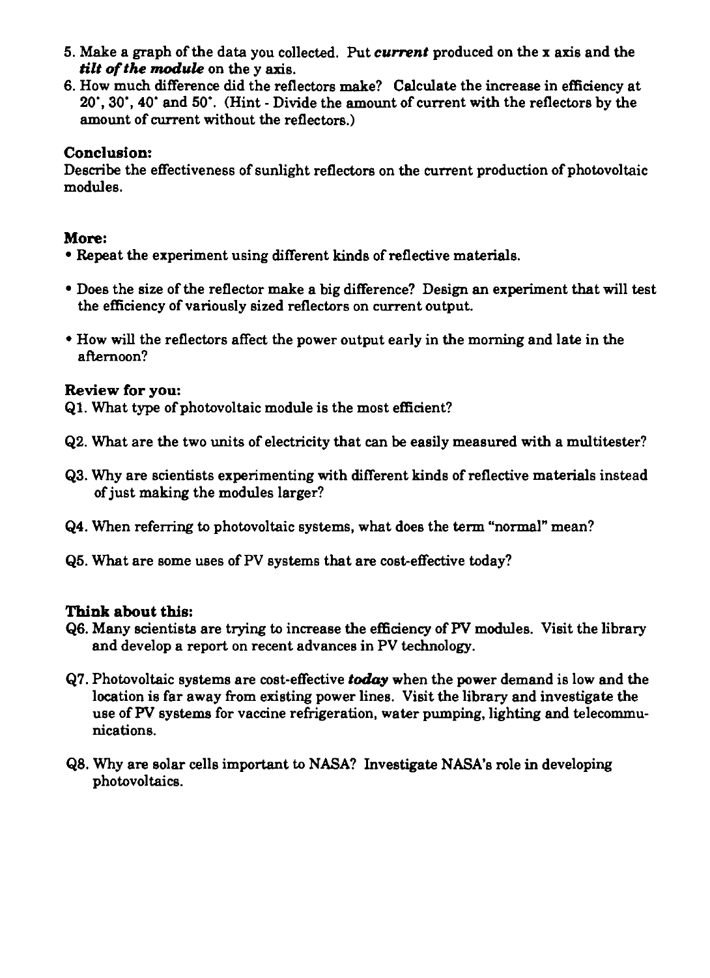- 5. Make a graph of the data you collected. Put *current* produced on the x axis and the *tilt of the module* on the *v* axis.
- 6. How much difference did the reflectors make? Calculate the increase in efficiency at 20', 30', 40' and 50'. (Hint - Divide the amount of current with the reflectors by the amount of current without the reflectors.)

# **Conclusion:**

Describe the effectiveness of sunlight reflectors on the current production of photovoltaic modules.

# **More:**

- Repeat the experiment using different kinds of reflective materials.
- Does the size of the reflector make a big difference? Design an experiment that will test the efficiency of variously sized reflectors on current output.
- How will the reflectors affect the power output early in the morning and late in the afternoon?

# **Review for you:**

61. What type of photovoltaic module is the most efficient?

- 62. What are the two units of electricity that can be easily measured with a multitester?
- 63. Why are scientists experimenting with different kinds of reflective materials instead of just making the modules larger?
- 64. When referring to photovoltaic systems, what does the term "normal" mean?
- 65. What are some uses of PV systems that are cost-effective today?

- 66. Many scientists are trying to increase the efficiency of W modules. Visit the library and develop a report on recent advances in PV technology.
- 67. Photovoltaic systems are cost-effective *thy* when the power demand is low and the location is far away from existing power lines. Visit the library and investigate the use of PV systems for vaccine refrigeration, water pumping, lighting and telecommunications.
- 68. Why are solar cells important to NASA? Investigate NASA's role in developing photovoltaics.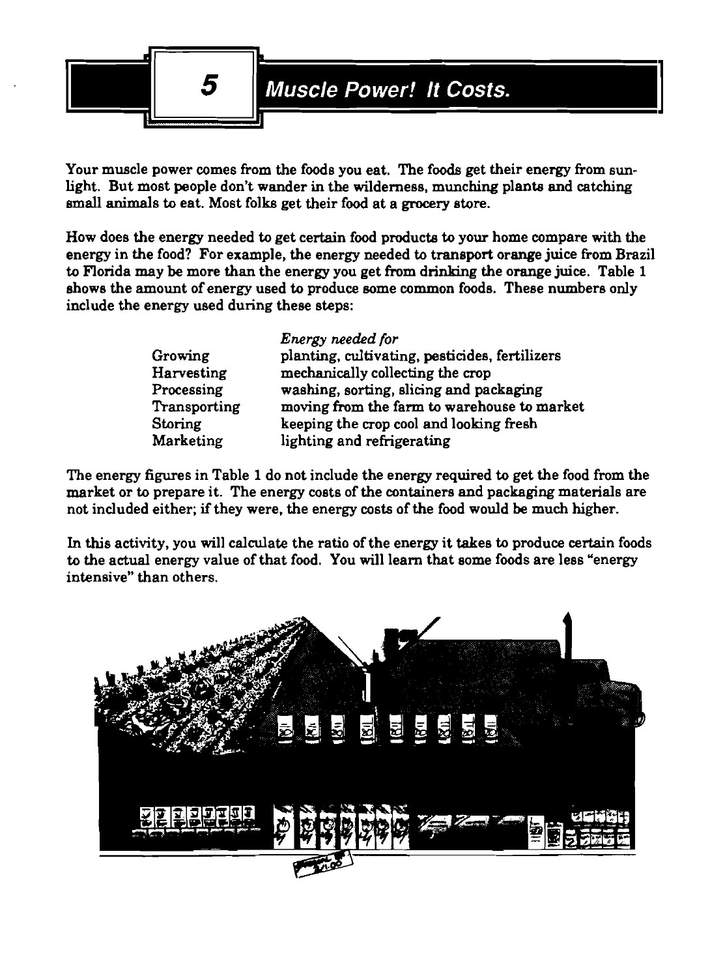

Your muscle power comes from the foods you eat. The foods get their energy from sunlight. But most people don't wander in the wilderness, munching plante and catching small animals to eat. Most folks get their food at a **grocery** store.

How does the energy needed to get certain food producte to your home compare with the energy in the food? For example, the energy needed to transport orange juice from Brazil to Florida may be more than the energy you get from drinking the orange juice. Table 1 shows the amount of energy used to produce some common foods. These numbers only include the energy used during these steps:

|              | Energy needed for                              |
|--------------|------------------------------------------------|
| Growing      | planting, cultivating, pesticides, fertilizers |
| Harvesting   | mechanically collecting the crop               |
| Processing   | washing, sorting, slicing and packaging        |
| Transporting | moving from the farm to warehouse to market    |
| Storing      | keeping the crop cool and looking fresh        |
| Marketing    | lighting and refrigerating                     |

The energy figures in Table 1 do not include the energy required to get the food from the market or to prepare it. The energy costs of the containers and packaging materials are not included either; if they were, the energy costs of the food would be much higher.

In this activity, you will calculate the ratio of the energy it takes to produce certain foods to the actual energy value of that food. You will learn that some foods are less "energy intensive" than others.

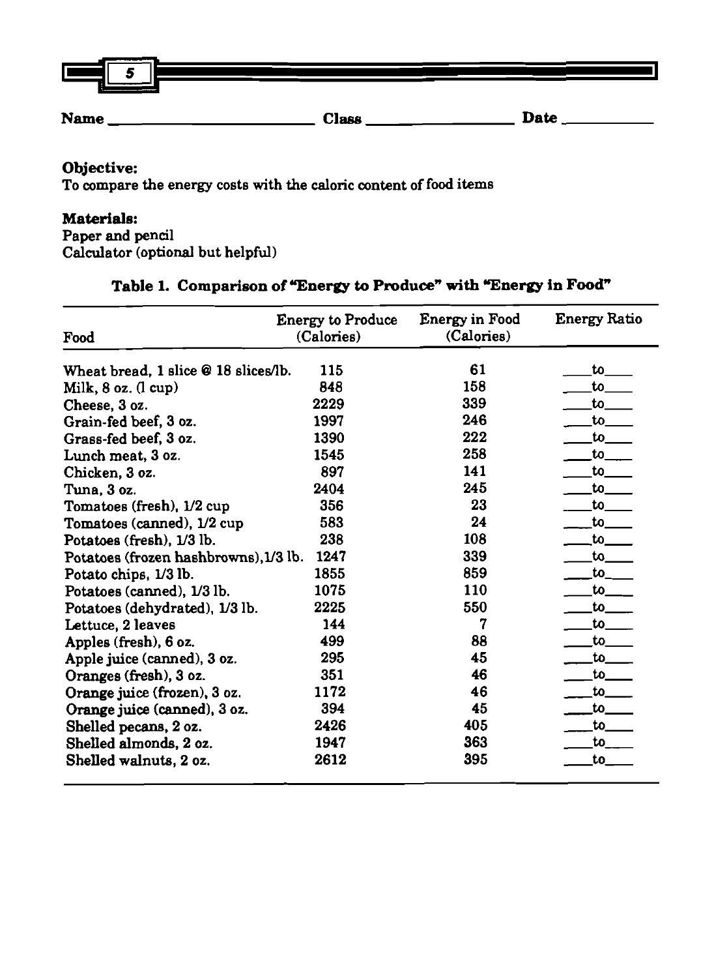| Г<br>з      |              |             |
|-------------|--------------|-------------|
| <b>Name</b> | <b>Class</b> | <b>Date</b> |

# **Objective:**

To compare the energy costs with the caloric content of food items

#### **Materials:**

Paper and pencil Calculator (optional but helpful)

### Table 1. Comparison of "Energy to Produce" with "Energy in Food"

| Food                                  | <b>Energy to Produce</b><br>(Calories) | <b>Energy in Food</b><br>(Calories) | <b>Energy Ratio</b> |
|---------------------------------------|----------------------------------------|-------------------------------------|---------------------|
| Wheat bread, 1 slice @ 18 slices/lb.  | 115                                    | 61                                  | to_                 |
| Milk, $8$ oz. $(l$ cup)               | 848                                    | 158                                 | to                  |
| Cheese, 3 oz.                         | 2229                                   | 339                                 | to                  |
| Grain-fed beef, 3 oz.                 | 1997                                   | 246                                 | $\mathbf{t}$        |
| Grass-fed beef, 3 oz.                 | 1390                                   | 222                                 | to                  |
| Lunch meat, 3 oz.                     | 1545                                   | 258                                 | to                  |
| Chicken, 3 oz.                        | 897                                    | 141                                 | to                  |
| Tuna, 3 oz.                           | 2404                                   | 245                                 | $\mathsf{to}$       |
| Tomatoes (fresh), 1/2 cup             | 356                                    | 23                                  | to                  |
| Tomatoes (canned), 1/2 cup            | 583                                    | 24                                  | to to               |
| Potatoes (fresh), 1/3 lb.             | 238                                    | 108                                 | $\mathsf{to}$       |
| Potatoes (frozen hashbrowns), 1/3 lb. | 1247                                   | 339                                 | $\mathsf{to}$       |
| Potato chips, 1/3 lb.                 | 1855                                   | 859                                 | to                  |
| Potatoes (canned), 1/3 lb.            | 1075                                   | 110                                 | $\mathsf{to}\_$     |
| Potatoes (dehydrated), 1/3 lb.        | 2225                                   | 550                                 | $\mathsf{to}$       |
| Lettuce, 2 leaves                     | 144                                    | 7                                   | to                  |
| Apples (fresh), 6 oz.                 | 499                                    | 88                                  | $\mathsf{to}_-$     |
| Apple juice (canned), 3 oz.           | 295                                    | 45                                  | to l                |
| Oranges (fresh), 3 oz.                | 351                                    | 46                                  | to                  |
| Orange juice (frozen), 3 oz.          | 1172                                   | 46                                  | $\mathsf{to}_-$     |
| Orange juice (canned), 3 oz.          | 394                                    | 45                                  | to                  |
| Shelled pecans, 2 oz.                 | 2426                                   | 405                                 | to                  |
| Shelled almonds, 2 oz.                | 1947                                   | 363                                 | to                  |
| Shelled walnuts, 2 oz.                | 2612                                   | 395                                 | to.                 |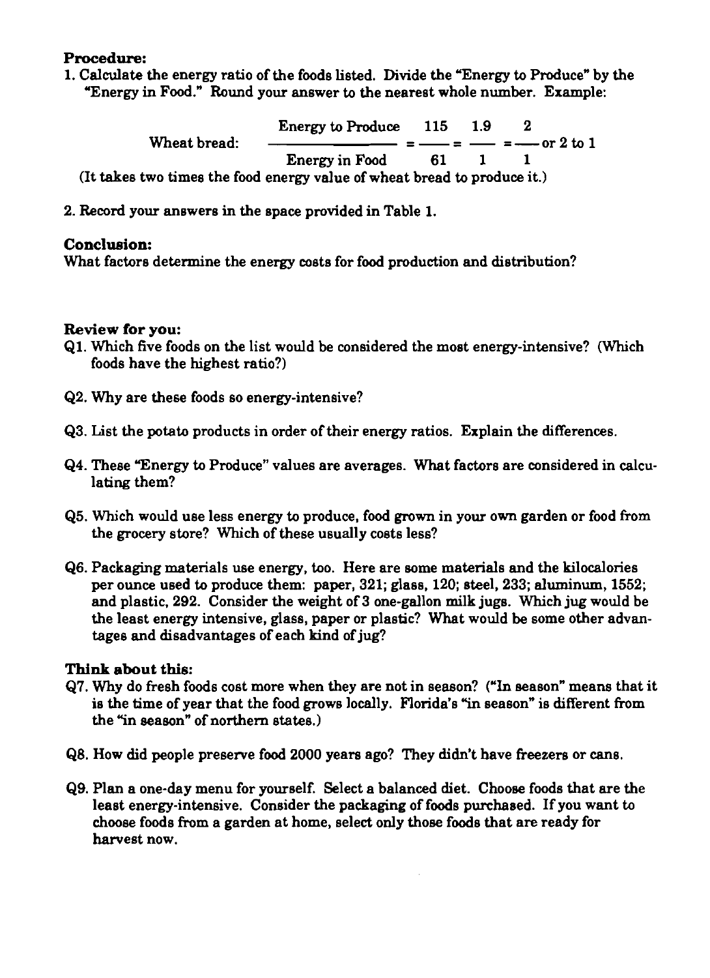#### **Procedure:**

**1.** Calculate the energy ratio of the foods listed. Divide the 'Energy to Produce" by the 'Energy in Food." Round your answer to the nearest whole number. Example:

Energy to Produce **115 1.9 2**  Wheat bread:  $\frac{\text{Energy to produce}}{\text{115}} = \frac{1.9}{1.9} = \frac{2}{1.9}$  or 2 to 1 Energy in Food **61 1 1**  (It takes two times the food energy value of wheat bread to produce it.)

**2.** Record your answers in the space provided in Table **1.** 

### **Conclusion:**

What factors determine the energy costs for food production and distribution?

#### **Review for you:**

- **Q1.** Which five foods on the list would be considered the most energy-intensive? (Which foods have the highest ratio?)
- **Q2.** Why are these foods so energy-intensive?
- **Q3.** List the potato products in order of their energy ratios. Explain the differences.
- **Q4. These "Energy to Produce" values are averages. What factors are considered in calcu**lating them?
- **Q5.** Which would use less energy to produce, food grown in your own garden or food from the grocery store? Which of these usually costs less?
- **Q6.** Packaging materials use energy, too. Here are some materials and the kilocalories per ounce used to produce them: paper, **321;** glass, **120;** steel, **233;** aluminum, **1552;**  and plastic. **292.** Consider the weight of **3** one-gallon milk jugs. Which **jug** would be the least energy intensive, glass, paper or plastic? What would be some other advantages and disadvantages of each kind of jug?

- **Q7.** Why do fresh foods cost more when they are not in season? ("In season" means that it is the time of year that the food grows locally. Florida's "in season" is different from the "in season" of northern states.)
- **QB.** How did people preserve food **2000** years ago? They didn't have freezers or cans.
- **Q9.** Plan a one-day menu for yourself. Select a balanced diet. Choose foods that are the least energy-intensive. Consider the packaging of foods purchased. If you want to choose foods from a garden at home, select only those foods that are ready for harvest now.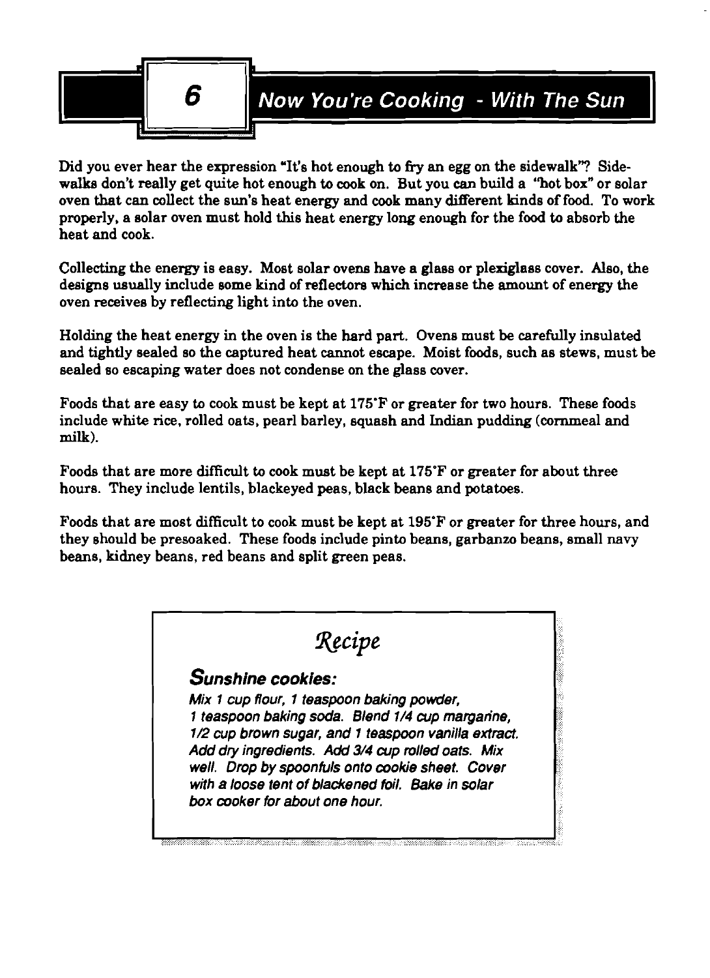

Did you ever hear the expression 'It's hot enough to **fiy** an egg on the sidewalk'? Sidewalks don't really get quite hot enough to cook on. But you can build a "hot box" or solar oven that can collect the sun's heat energy and cook many different kinds of food. To work properly, a solar oven must hold this heat energy long enough for the food to absorb the heat and cook.

Collecting the energy is easy. Most solar ovens have a glass or plexiglass cover. Also, the designs usually include some kind of reflectors which increase the amount of energy the oven receives by reflecting light into the oven.

Holding the heat energy in the oven is the hard part. Ovens must be carefully insulated and tightly sealed so the captured heat cannot escape. Moist foods, such as stews, must be sealed so escaping water does not condense on the glass cover.

Foods that are easy to cook must be kept at 175'F or greater for two hours. These foods include white rice, rolled oats, pearl barley, squash and Indian pudding (cornmeal and **milk).** 

Foods that are more difficult to cook must be kept at 175°F or greater for about three hours. They include lentils, blackeyed peas, black beans and potatoes.

Foods that are most difficult to cook must be kept at 195'F or greater for three hours, and they should be presoaked. These foods include pinto beans, garbanzo beans, small navy beans, kidney beans, red beans and split green peas.

| Recipe |                                                      |
|--------|------------------------------------------------------|
|        | Sunshine cookies:                                    |
|        | Mix 1 cup flour, 1 teaspoon baking powder,           |
|        | 1 teaspoon baking soda. Blend 1/4 cup marganne,      |
|        | 1/2 cup brown sugar, and 1 teaspoon vanilla extract. |
|        | Add dry ingredients. Add 3/4 cup rolled oats. Mix    |
|        | well. Drop by spoonfuls onto cookie sheet. Cover     |
|        | with a loose tent of blackened foil. Bake in solar   |
|        | box cooker for about one hour.                       |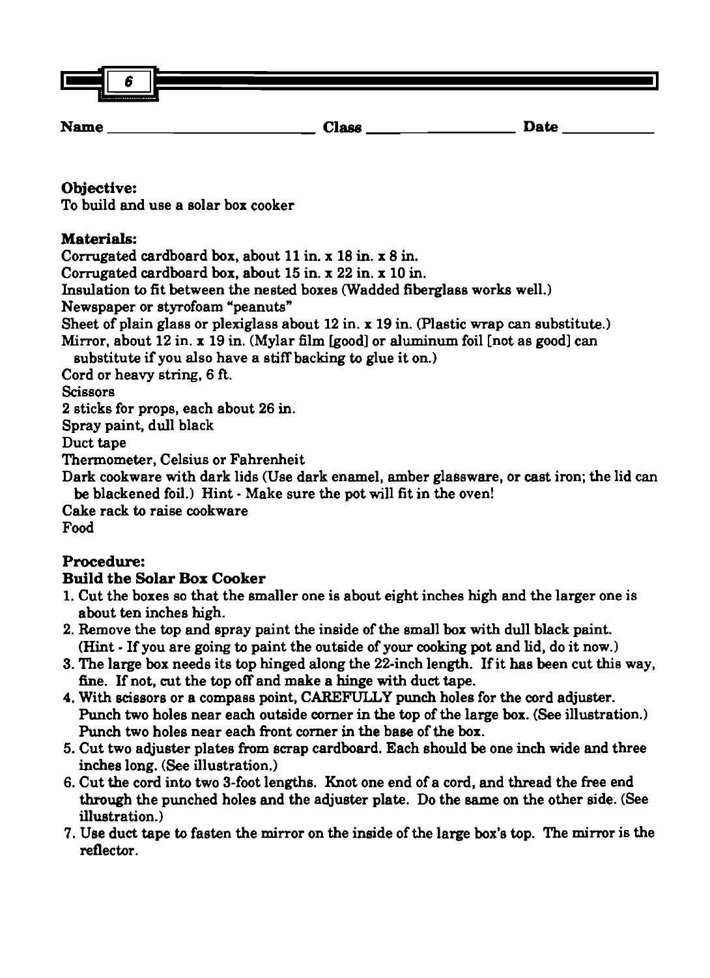| Ŀ           | . .<br>ю. |              |      |  |
|-------------|-----------|--------------|------|--|
| <b>Name</b> |           | <b>Class</b> | Date |  |

# **Objective:**

To build and use a solar box cooker

# **Materials:**

Corrugated cardboard box, about 11 in. x 18 in. x 8 in.

Corrugated cardboard box, about 15 in. x 22 in. x 10 in.

Insulation to fit between the nested boxes (Wadded fiberglass works well.)

Newspaper or styrofoam "peanuts"

Sheet of plain glass or plexiglass about 12 in. x 19 in. (Plastic wrap **can** substitute.)

Mirror, about 12 in. x 19 in. (Mylar film [good] or aluminum foil [not as good] can

substitute if you also have a stiff backing to glue it on.)

Cord or heavy string, 6 **ft.** 

Scissors

2 sticks for props, each about 26 in.

Spray paint, dull black

Duct tape

Thermometer, Celsius or Fahrenheit

Dark cookware with dark lids (Use dark enamel, amber glassware, or cast iron; the lid can be blackened foil.) Hint - Make sure the pot will fit in the oven!

Cake rack to raise cookware

Food

# **Procedure:**

# **Build the Solar Box Cooker**

- 1. Cut the boxes so that the smaller one is about eight inches high and the larger one is about ten inches high.
- 2. Remove the top and spray paint the inside of the small box with dull black paint. (Hint - If you are going to paint the outside of your **cooking** pot and lid, do it now.)
- 3. The large box needs its top hinged along the 22-inch length. If it has been cut this way, fine. If not, cut the top off and make a hinge with duct tape.
- 4. With scissors or a compass point, CAREFULLY punch holes for the cord adjuster. Punch two holes near each outside corner in the top of the large box. (See illustration.) Punch two holes near each front corner in the base of the box.
- 5. Cut two adjuster plates from scrap cardboard. Each should be one inch wide and three inches long. (See illustration.)
- 6. Cut the cord into two 3-foot lengths. Knot one end of a cord, and thread the free end through the punched holes and the adjuster plate. Do the same on the other side. (See illuetration.)
- 7. Use duct tape to fasten the mirror on the inside of the large box's top. The mirror is the reflector.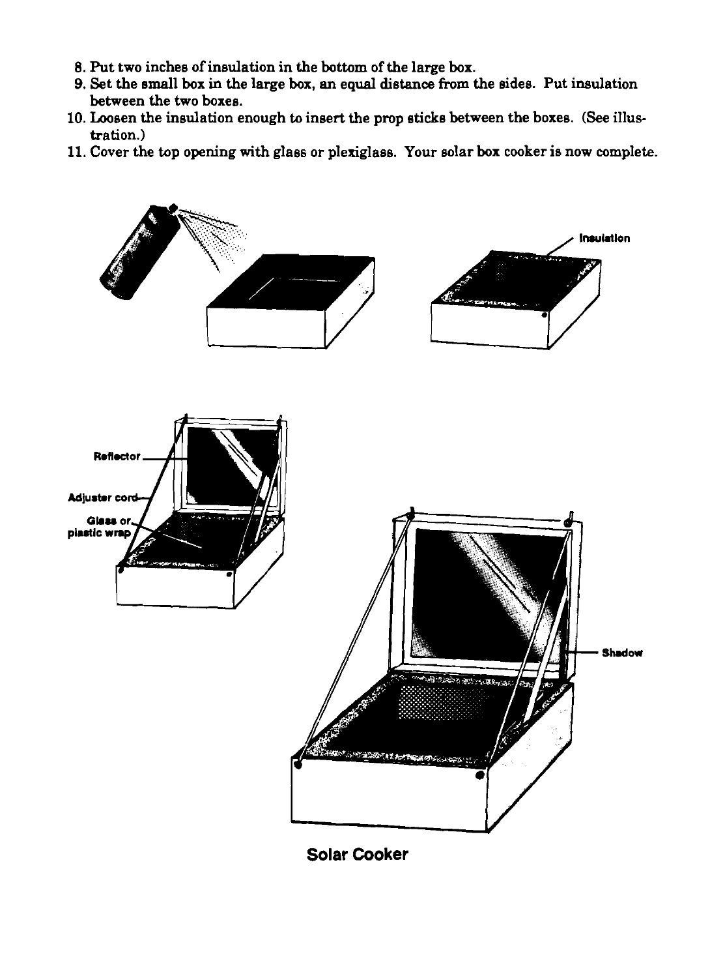- 8. Put two inches of insulation in the bottom of the large box.
- 9. Set the emall box in the large box, an equal distance from the eides. Put insulation between the two boxes.
- 10. Loosen the insulation enough to insert the prop sticke between the boxes. (See illustration.)
- 11. Cover the top opening with glass or plexiglass. Your solar box cooker is now complete.



**Solar Cooker**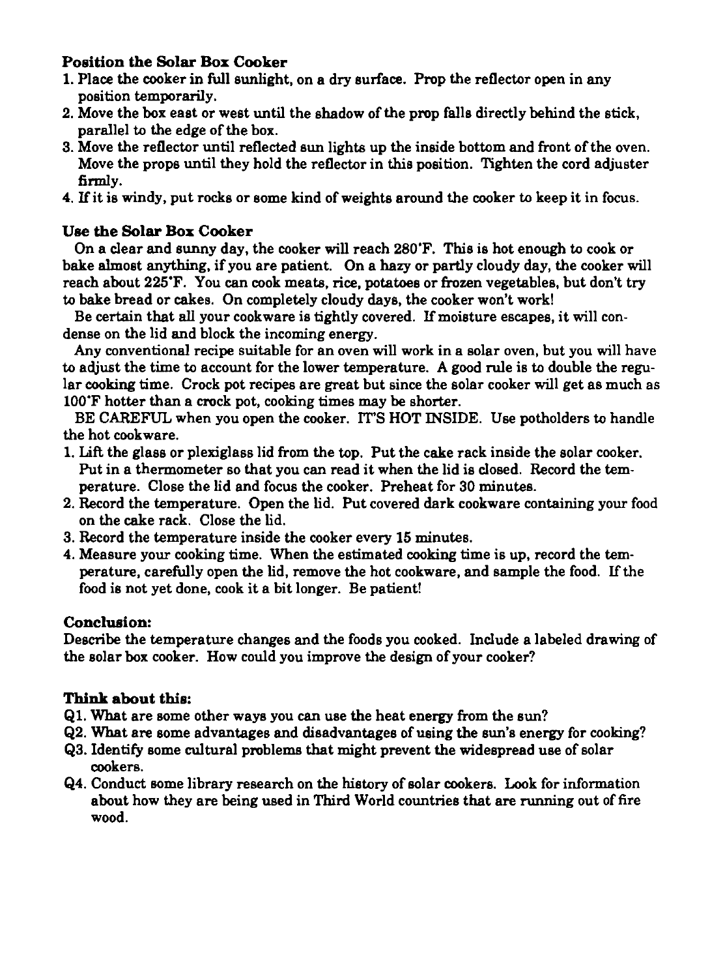# **Position the Solar Box Cooker**

- **1.** Place the cooker in **full** sunlight, on a dry surface. Prop the reflector open in any position temporarily.
- **2.** Move the box east or west until the shadow of the prop falls directly behind the stick, parallel to the edge of the box.
- **3.** Move the reflector until reflected sun lights up the inside bottom and front of the oven. Move the props until they hold the reflector in this position. Tighten the cord adjuster **firmly.**
- 4. If it is windy, put rocks or some kind of weights around the cooker to keep it in focus.

# **Use the Solar Box Cooker**

On a clear and sunny day, the cooker will reach **280'F.** This is hot enough to cook or bake almost anything, if you are patient. On a hazy or partly cloudy day, the cooker will reach about **225'F.** You can cook meats, rice, potatoes or frozen vegetables, but don't try to bake bread or cakes. On completely cloudy days, the cooker won't work!

Be certain that all your cookware is tightly covered. If moisture escapes, it will condense on the lid and block the incoming energy.

Any conventional recipe suitable for an oven will work in a solar oven, but you will have to adjust the time to account for the lower temperature. A good rule is to double the regular cooking time. Crock pot recipes are great but since the solar cooker will get as much as **100'F** hotter than a crock pot, cooking times may be shorter.

BE CAREFUL when you open the cooker. IT'S HOT INSIDE. Use potholders to handle the hot cookware.

- **1. LiR** the glass or plexiglass lid from the top. Put the cake rack inside the solar cooker. Put in a thermometer so that you can read it when the lid is closed. Record the temperature. Close the lid and focus the cooker. Preheat for **30** minutes.
- **2.** Record the temperature. Open the lid. Put covered dark cookware containing your food on the cake rack. Close the lid.
- **3.** Record the temperature inside the cooker every 15 minutes.
- 4. Measure your cooking time. When the estimated cooking time is up, record the temperature, carefully open the lid, remove the hot cookware, and sample the food. If the food is not yet done, cook it a bit longer. Be patient!

# **Conclusion:**

Describe the temperature changes and the foods you cooked. Include a labeled drawing of the solar box cooker. How could you improve the design of your cooker?

- **61.** What are some other ways you can use the heat energy from the sun?
- **62.** What are some advantages and disadvantages of using the sun's energy for cooking?
- **63.** Identify some cultural problems that might prevent the widespread use of solar cookers.
- **64.** Conduct eome library research on the history of eolar cookers. Look for information about how they are being used in Third World countries that are running out of fire wood.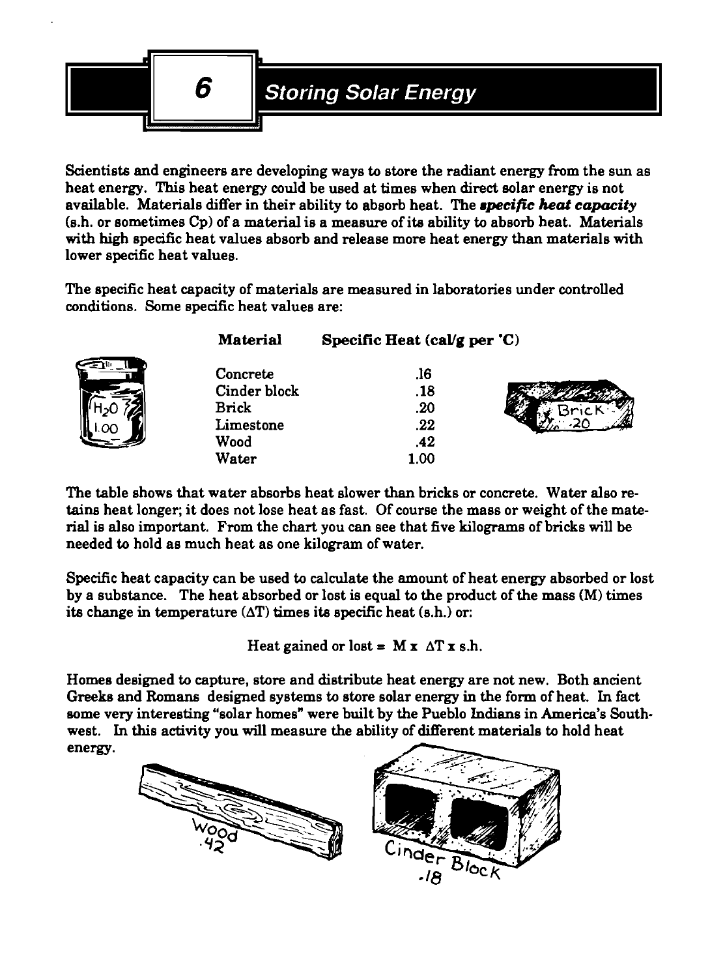

Scientists and engineers are developing ways to store the radiant energy from the sun as heat energy. This heat energy could be used at times when direct eolar energy is not available. Materials differ in their ability to absorb heat. The *specific heat capacity* (s.h. or sometimes Cp) of a material is a measure of ita ability to absorb heat. Materials with high specific heat values absorb and release more heat energy than materials with lower specific heat values.

The specific heat capacity of materials are measured in laboratories under controlled conditions. Some specific heat values are:

|    | <b>Material</b>                                               | Specific Heat $\langle \text{cal/g per 'C} \rangle$ |  |
|----|---------------------------------------------------------------|-----------------------------------------------------|--|
| OΓ | Concrete<br>Cinder block<br><b>Brick</b><br>Limestone<br>Wood | .16<br>.18<br>.20<br>.22<br>.42                     |  |
|    | Water                                                         | 1.00                                                |  |

The table shows that water absorbs heat slower than bricks or concrete. Water also retains heat longer; it does not lose heat as fast. Of course the mass or weight of the material is also important. From the chart you can see that five kilograms of bricks will be needed to hold as much heat as one kilogram of water.

Specific heat capacity can be used to calculate the amount of heat energy absorbed or lost by a substance. The heat absorbed or lost is equal to the product of the mass **(M)** times its change in temperature  $(\Delta T)$  times its specific heat (s.h.) or:

Heat gained or lost =  $M x \Delta T x s.h.$ 

Homes designed to capture, store and distribute heat energy are not new. Both ancient Greeks and Romans designed systems to store solar energy in the form of heat. In fact eome very interesting "solar homes" were built by the Pueblo Indians in America's Southwest. In this activity you will measure the ability of different materials to hold heat energy.

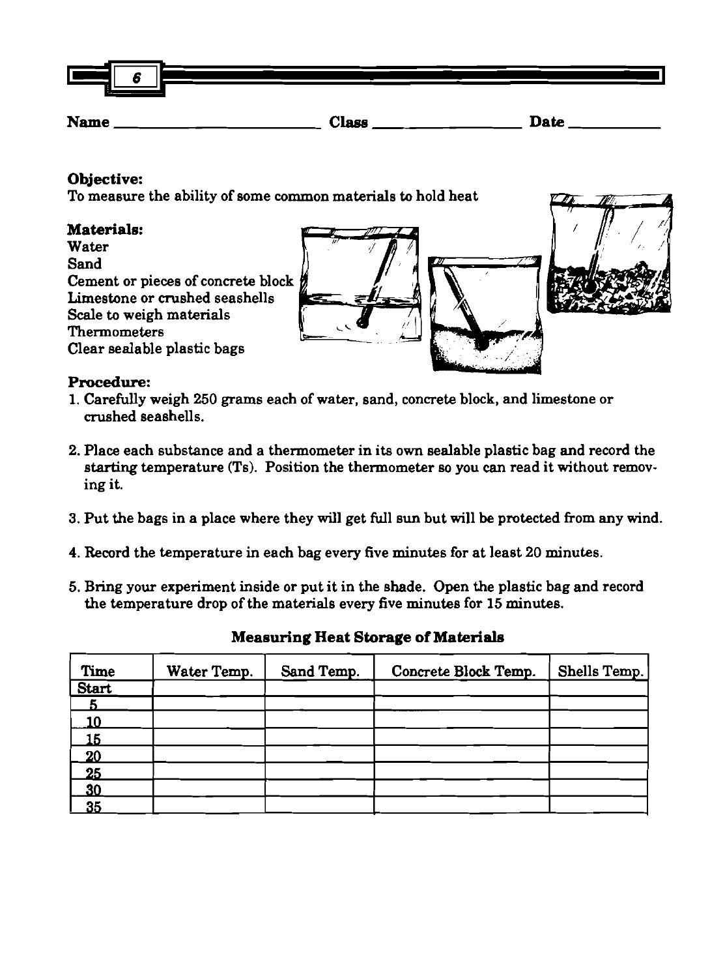| Ш<br>. .<br> | $\bullet$<br>D |  |              |  |             |  |
|--------------|----------------|--|--------------|--|-------------|--|
| <b>Name</b>  |                |  | <b>Class</b> |  | <b>Date</b> |  |

# **Objective:**

TO measure the ability of some common materials to hold heat

**Materials:**  Objective:<br>
To measure the ability of some common materials to hold heat<br>
Materials:<br>
Water<br>
Sand<br>
Cement or pieces of concrete block<br>
Limestone or crushed seashells<br>
Thermometers<br>
Clear sealable plastic bags<br>
Clear sealab Cement or pieces of concrete block Limestone or crushed seashells Scale to weigh materials **b and the season of the season of the season**  $\sim$ . , , **fl**  Clear sealable plastic bags / /

# **Procedure:**

- 1. Carefully weigh **250** grams each of water, sand, concrete block, and limestone or crushed seashells.
- **2.** Place each substance and a thermometer in its own sealable plastic bag and record the starting temperature (Ts). Position the thermometer so you can read it without removing it.
- 3. Put the bags in a place where they will get full sun but will be protected from any wind.
- 4. Record the temperature in each bag every five minutes for at least **20** minutes.
- **5.** Bring your experiment inside or put it in the shade. Open the plastic bag and record the temperature drop of the materials every five minutes for **15** minutes.

| Time         | Water Temp. | Sand Temp. | Concrete Block Temp. | Shells Temp. |
|--------------|-------------|------------|----------------------|--------------|
| <b>Start</b> |             |            |                      |              |
|              |             |            |                      |              |
| 10           |             |            |                      |              |
|              |             |            |                      |              |
| 20           |             |            |                      |              |
| 25           |             |            |                      |              |
| 30           |             |            |                      |              |
| 35           |             |            |                      |              |

# **Measuring Heat Storage of Materials**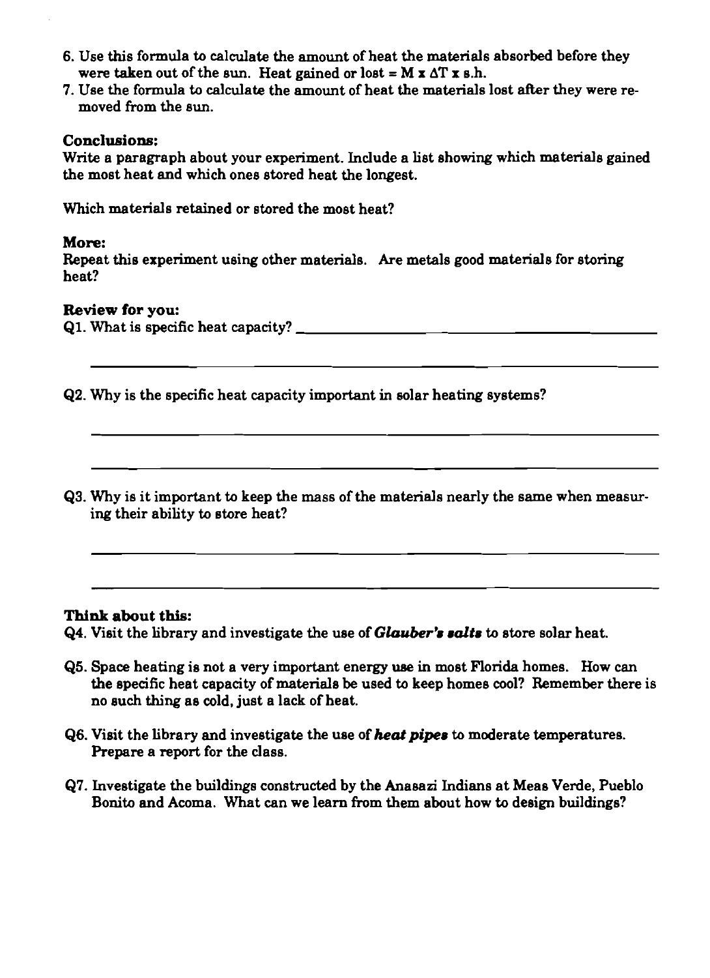- **6.** Use this formula to calculate the amount of heat the materials absorbed before they were taken out of the sun. Heat gained or lost =  $M x \Delta T x s.h$ .
- **7.** Use the formula to calculate the amount of heat the materials lost after they were removed from the sun.

#### **Conclusions:**

Write a paragraph about your experiment. Include a list showing which materials gained the most heat and which ones stored heat the longest.

Which materials retained or stored the most heat?

#### **More:**

Repeat this experiment using other materials. Are metals good materials for storing heat?

#### **Review** for **you:**

**Ql.** What is specific heat capacity?

- **62.** Why is the specific heat capacity important in solar heating systems?
- **Q3.** Why is it important to keep the mass of the materials nearly the same when measuring their ability to store heat?

#### **Think about this:**

**Q4.** Visit the library and investigate the use of *Glauber's salts* to store solar heat.

- **Q5.** Space heating is not a very important energy **use** in most Florida homes. How can the specific heat capacity of materials be used to keep homes cool? Remember there is no such thing as cold, just a lack of heat.
- **Q6. Visit the library and investigate the use of** *heat pipes* to moderate temperatures. Prepare a report for the class.
- **Q7.** Investigate the buildings constructed by the Anasazi Indians at Meas Verde, Pueblo Bonito and Acoma. What can we learn from them about how to design buildings?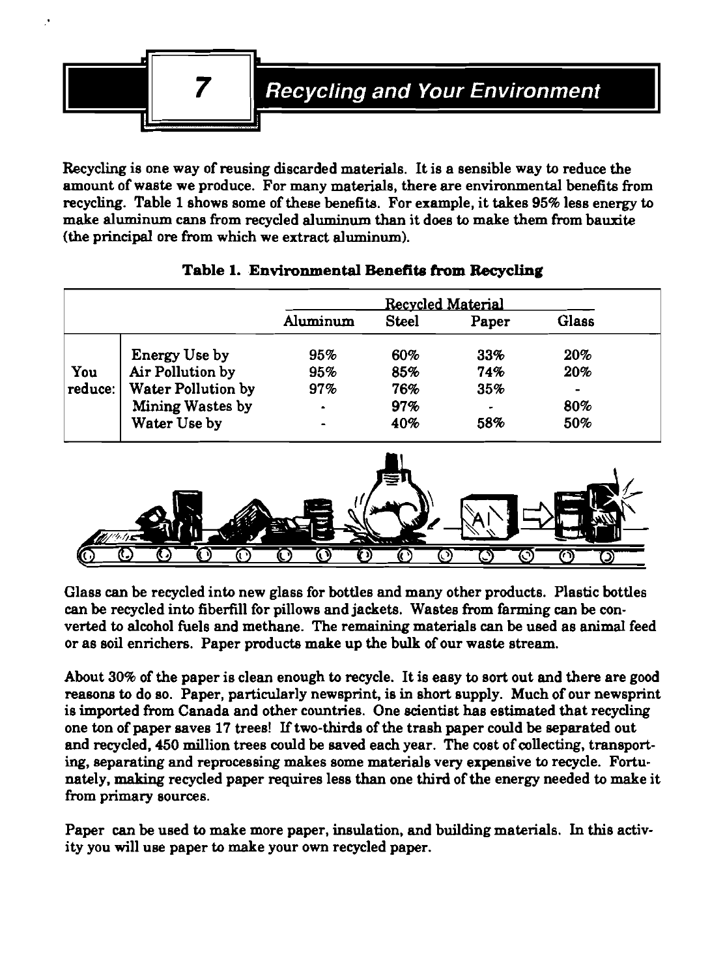

Recycling is one way of reusing discarded materials. It is a sensible way to reduce the amount of waste we produce. For many materials, there are environmental benefits from recycling. Table **1** shows some of these benefits. For example, it takes **95%** less energy to make aluminum cans from recycled aluminum than it does to make them from bauxite (the principal ore from which we extract aluminum).

|         |                           | Recycled Material |              |       |                |
|---------|---------------------------|-------------------|--------------|-------|----------------|
|         |                           | Aluminum          | <b>Steel</b> | Paper | Glass          |
|         | <b>Energy Use by</b>      | 95%               | 60%          | 33%   | 20%            |
| You     | Air Pollution by          | 95%               | 85%          | 74%   | 20%            |
| reduce: | <b>Water Pollution by</b> | 97%               | 76%          | 35%   | $\blacksquare$ |
|         | Mining Wastes by          | $\bullet$         | 97%          | -     | 80%            |
|         | Water Use by              | $\blacksquare$    | 40%          | 58%   | 50%            |

# **Table 1. Environmental Benefita from Recycling**



Glass **can** be recycled into new glass for bottles and many other products. Plastic bottles can be recycled into fiberfill for pillows and jackets. Wastes from farming can be converted to alcohol fuels and methane. The remaining materials can be used as animal feed or as soil enrichers. Paper products make up the bulk of our waste stream.

About **30%** of the paper is clean enough to recycle. It is easy to sort out and there are good reasons to do so. Paper, particularly newsprint, is in short supply. Much of our newsprint is imported from Canada and other countries. One scientist has estimated that recycling one ton of paper saves **17** trees! If two-thirds of the trash paper could be separated out and recycled, **450** million trees could be saved each year. The cost of collecting, transport**ing,** separating and reprocessing makes some materials very expensive to recycle. Fortunately, making recycled paper requires less than one third of the energy needed to make it from primary sources.

Paper can be used to make more paper, insulation, and building materials. In this activity you will use paper to make your own recycled paper.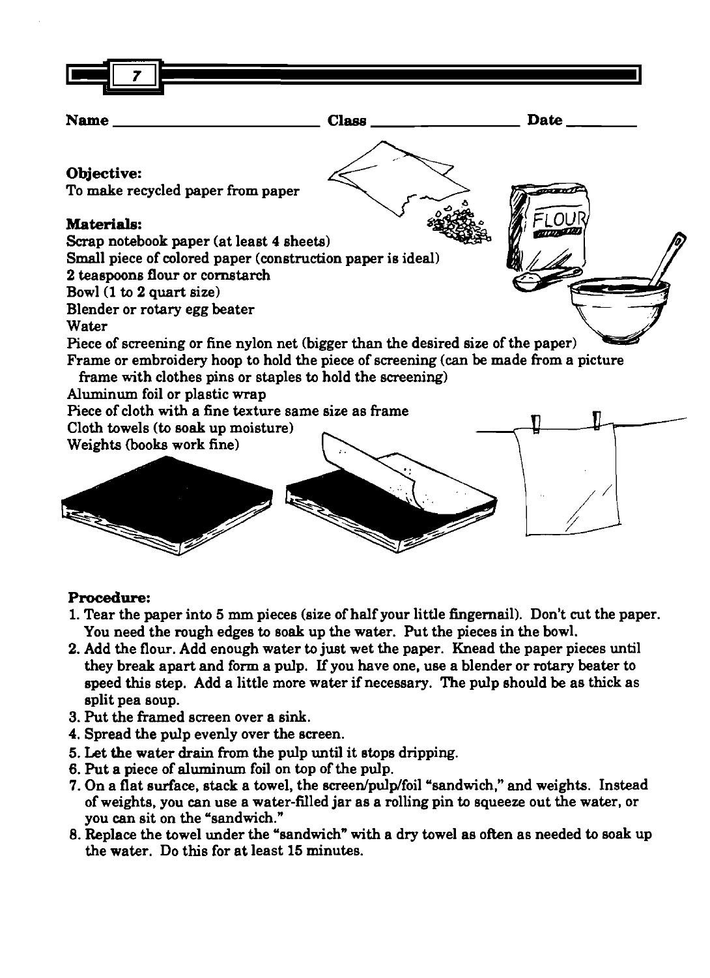

### **Procedure:**

- 1. Tear the paper into 5 mm pieces (size of half your little fingernail). Don't cut the paper. You need the rough edges to soak up the water. Put the pieces in the bowl.
- 2. Add the flour. Add enough water to just wet the paper. Knead the paper pieces until they break apart and form a pulp. If you have one, use a blender or rotary beater to speed this step. Add a little more water if necessary. The pulp should be as thick as split pea soup.
- 3. Put the framed screen over a sink.
- 4. Spread the pulp evenly over the screen.
- 5. Let the water drain from the pulp until it etops dripping.
- 6. Put a piece of aluminum foil on top of the pulp.
- 7. On a flat surface, stack a towel, the screen/pulp/foil "sandwich," and weights. Instead of weights, you can use a water-filled jar as a rolling pin to squeeze out the water, or you **can** sit on the "sandwich."
- 8. Replace the towel under the "sandwich" with a dry towel as often as needed to soak up the water. Do this for at least 15 minutes.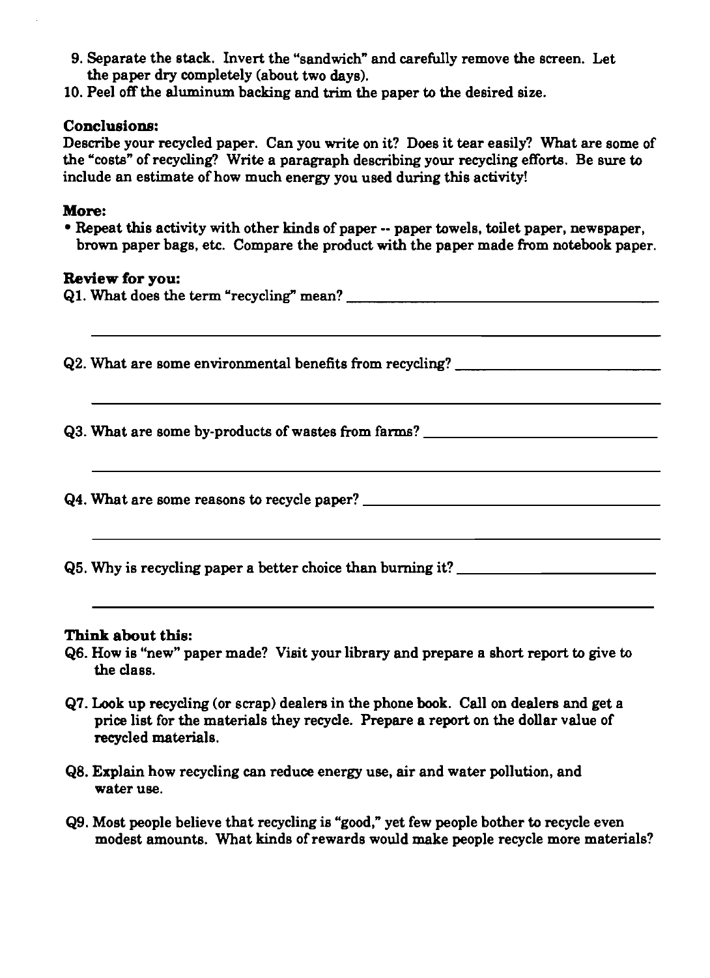- 9. Separate the stack. Invert the "sandwich" and carefully remove the screen. Let the paper dry completely (about two days).
- 10. Peel off the aluminum backing and trim the paper to the desired size.

#### **Conclusions:**

Describe your recycled paper. Can you write on it? Does it tear easily? What are some of the 'costs" of recycling? Write a paragraph describing your recycling efforts. Be sure to include an estimate of how much energy you used during this activity!

#### **More:**

Repeat this activity with other kinds of paper -- paper towels, toilet paper, newspaper, brown paper bags, etc. Compare the product with the paper made from notebook paper.

#### **Review for you:**

| Q2. What are some environmental benefits from recycling? _______________________ |
|----------------------------------------------------------------------------------|
| Q3. What are some by-products of wastes from farms? ____________________________ |
|                                                                                  |
| Q5. Why is recycling paper a better choice than burning it? ____________________ |

- 66. How is "new" paper made? Visit your library and prepare a short report to give to the class.
- 67. Look up recycling (or scrap) dealers in the phone book. Call on dealers and get a price list for the materials they recycle. Prepare a report on the dollar value of recycled materials.
- 68. Explain how recycling **can** reduce energy use, air and water pollution, and water use.
- 69. Most people believe that recycling is "good," yet few people bother to recycle even modest amounts. What kinds of rewards would make people recycle more materials?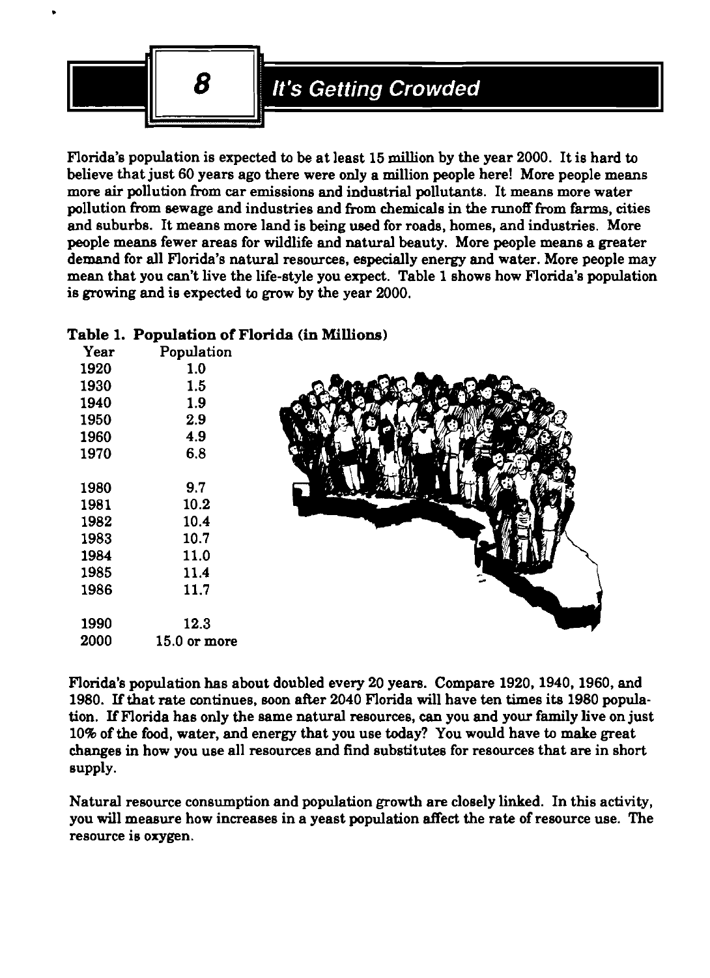

Florida's population is expected to be at least **15** million by the year **2000.** It is hard to believe that just **60** years ago there were only a million people here! More people means more **air** pollution from car emissions and industrial pollutants. It means more water pollution from sewage and industries and from chemicals in the runoff from farms, cities and suburbs. It means more land is being used for roade, homes, and industries. More people means fewer areas for wildlife and natural beauty. More people means a greater demand for all Florida's natural resources, especially energy and water. More people may mean that you can't live the life-style you expect. Table **1** shows how Florida's population is growing and is expected to grow by the year **2000.** 

# **Table 1. Population** of Florida **(in** Millions)

| Year | Population   |  |
|------|--------------|--|
| 1920 | 1.0          |  |
| 1930 | 1.5          |  |
| 1940 | 1.9          |  |
| 1950 | 2.9          |  |
| 1960 | 4.9          |  |
| 1970 | 6.8          |  |
|      |              |  |
| 1980 | 9.7          |  |
| 1981 | 10.2         |  |
| 1982 | 10.4         |  |
| 1983 | 10.7         |  |
| 1984 | 11.0         |  |
| 1985 | 11.4         |  |
| 1986 | 11.7         |  |
|      |              |  |
| 1990 | 12.3         |  |
| 2000 | 15.0 or more |  |
|      |              |  |

Florida's population has about doubled every **20** years. Compare **1920,1940,1960,** and **1980.** If that rate continues, Boon after **2040** Florida will have ten times its **1980** population. If Florida has only the same natural resources, can you and your family live on just **10%** of the food, water, and energy that you use today? You would have to make great changes in how you use all resources and find substitutes for resources that are in short supply.

Natural resource consumption and population growth are closely linked. In this activity, you will measure how increases in a yeast population affect the rate of resource use. The resource is oxygen.